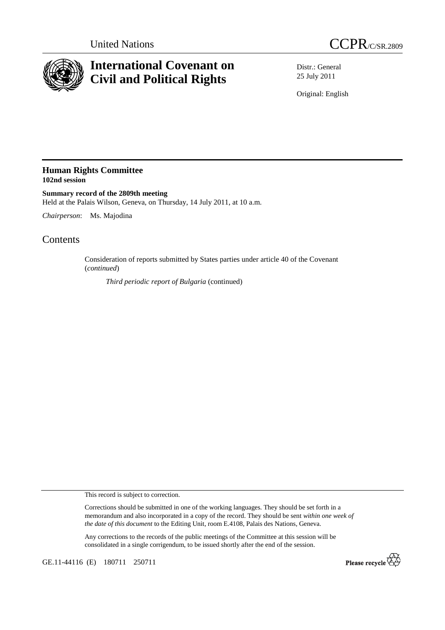



## **International Covenant on Civil and Political Rights**

Distr.: General 25 July 2011

Original: English

## **Human Rights Committee 102nd session**

**Summary record of the 2809th meeting**  Held at the Palais Wilson, Geneva, on Thursday, 14 July 2011, at 10 a.m.

*Chairperson*: Ms. Majodina

## **Contents**

Consideration of reports submitted by States parties under article 40 of the Covenant (*continued*)

*Third periodic report of Bulgaria* (continued)

This record is subject to correction.

Corrections should be submitted in one of the working languages. They should be set forth in a memorandum and also incorporated in a copy of the record. They should be sent *within one week of the date of this document* to the Editing Unit, room E.4108, Palais des Nations, Geneva.

Any corrections to the records of the public meetings of the Committee at this session will be consolidated in a single corrigendum, to be issued shortly after the end of the session.

GE.11-44116 (E) 180711 250711

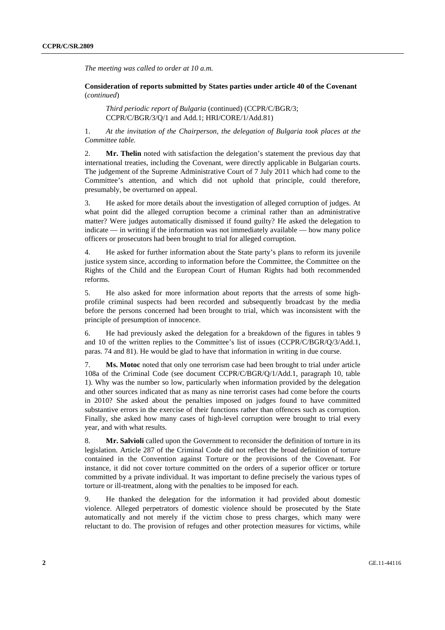*The meeting was called to order at 10 a.m.* 

 **Consideration of reports submitted by States parties under article 40 of the Covenant**  (*continued*)

*Third periodic report of Bulgaria* (continued) (CCPR/C/BGR/3; CCPR/C/BGR/3/Q/1 and Add.1; HRI/CORE/1/Add.81)

1. *At the invitation of the Chairperson, the delegation of Bulgaria took places at the Committee table.* 

2. **Mr. Thelin** noted with satisfaction the delegation's statement the previous day that international treaties, including the Covenant, were directly applicable in Bulgarian courts. The judgement of the Supreme Administrative Court of 7 July 2011 which had come to the Committee's attention, and which did not uphold that principle, could therefore, presumably, be overturned on appeal.

3. He asked for more details about the investigation of alleged corruption of judges. At what point did the alleged corruption become a criminal rather than an administrative matter? Were judges automatically dismissed if found guilty? He asked the delegation to indicate — in writing if the information was not immediately available — how many police officers or prosecutors had been brought to trial for alleged corruption.

4. He asked for further information about the State party's plans to reform its juvenile justice system since, according to information before the Committee, the Committee on the Rights of the Child and the European Court of Human Rights had both recommended reforms.

5. He also asked for more information about reports that the arrests of some highprofile criminal suspects had been recorded and subsequently broadcast by the media before the persons concerned had been brought to trial, which was inconsistent with the principle of presumption of innocence.

6. He had previously asked the delegation for a breakdown of the figures in tables 9 and 10 of the written replies to the Committee's list of issues (CCPR/C/BGR/Q/3/Add.1, paras. 74 and 81). He would be glad to have that information in writing in due course.

7. **Ms. Motoc** noted that only one terrorism case had been brought to trial under article 108a of the Criminal Code (see document CCPR/C/BGR/Q/1/Add.1, paragraph 10, table 1). Why was the number so low, particularly when information provided by the delegation and other sources indicated that as many as nine terrorist cases had come before the courts in 2010? She asked about the penalties imposed on judges found to have committed substantive errors in the exercise of their functions rather than offences such as corruption. Finally, she asked how many cases of high-level corruption were brought to trial every year, and with what results.

8. **Mr. Salvioli** called upon the Government to reconsider the definition of torture in its legislation. Article 287 of the Criminal Code did not reflect the broad definition of torture contained in the Convention against Torture or the provisions of the Covenant. For instance, it did not cover torture committed on the orders of a superior officer or torture committed by a private individual. It was important to define precisely the various types of torture or ill-treatment, along with the penalties to be imposed for each.

9. He thanked the delegation for the information it had provided about domestic violence. Alleged perpetrators of domestic violence should be prosecuted by the State automatically and not merely if the victim chose to press charges, which many were reluctant to do. The provision of refuges and other protection measures for victims, while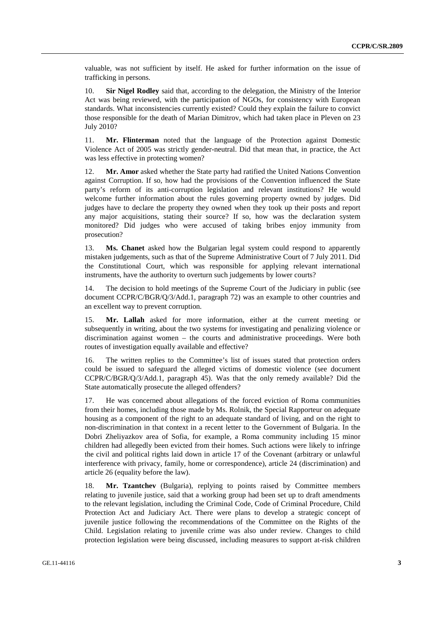valuable, was not sufficient by itself. He asked for further information on the issue of trafficking in persons.

10. **Sir Nigel Rodley** said that, according to the delegation, the Ministry of the Interior Act was being reviewed, with the participation of NGOs, for consistency with European standards. What inconsistencies currently existed? Could they explain the failure to convict those responsible for the death of Marian Dimitrov, which had taken place in Pleven on 23 July 2010?

11. **Mr. Flinterman** noted that the language of the Protection against Domestic Violence Act of 2005 was strictly gender-neutral. Did that mean that, in practice, the Act was less effective in protecting women?

12. **Mr. Amor** asked whether the State party had ratified the United Nations Convention against Corruption. If so, how had the provisions of the Convention influenced the State party's reform of its anti-corruption legislation and relevant institutions? He would welcome further information about the rules governing property owned by judges. Did judges have to declare the property they owned when they took up their posts and report any major acquisitions, stating their source? If so, how was the declaration system monitored? Did judges who were accused of taking bribes enjoy immunity from prosecution?

13. **Ms. Chanet** asked how the Bulgarian legal system could respond to apparently mistaken judgements, such as that of the Supreme Administrative Court of 7 July 2011. Did the Constitutional Court, which was responsible for applying relevant international instruments, have the authority to overturn such judgements by lower courts?

14. The decision to hold meetings of the Supreme Court of the Judiciary in public (see document CCPR/C/BGR/Q/3/Add.1, paragraph 72) was an example to other countries and an excellent way to prevent corruption.

15. **Mr. Lallah** asked for more information, either at the current meeting or subsequently in writing, about the two systems for investigating and penalizing violence or discrimination against women – the courts and administrative proceedings. Were both routes of investigation equally available and effective?

16. The written replies to the Committee's list of issues stated that protection orders could be issued to safeguard the alleged victims of domestic violence (see document CCPR/C/BGR/Q/3/Add.1, paragraph 45). Was that the only remedy available? Did the State automatically prosecute the alleged offenders?

17. He was concerned about allegations of the forced eviction of Roma communities from their homes, including those made by Ms. Rolnik, the Special Rapporteur on adequate housing as a component of the right to an adequate standard of living, and on the right to non-discrimination in that context in a recent letter to the Government of Bulgaria. In the Dobri Zheliyazkov area of Sofia, for example, a Roma community including 15 minor children had allegedly been evicted from their homes. Such actions were likely to infringe the civil and political rights laid down in article 17 of the Covenant (arbitrary or unlawful interference with privacy, family, home or correspondence), article 24 (discrimination) and article 26 (equality before the law).

18. **Mr. Tzantchev** (Bulgaria), replying to points raised by Committee members relating to juvenile justice, said that a working group had been set up to draft amendments to the relevant legislation, including the Criminal Code, Code of Criminal Procedure, Child Protection Act and Judiciary Act. There were plans to develop a strategic concept of juvenile justice following the recommendations of the Committee on the Rights of the Child. Legislation relating to juvenile crime was also under review. Changes to child protection legislation were being discussed, including measures to support at-risk children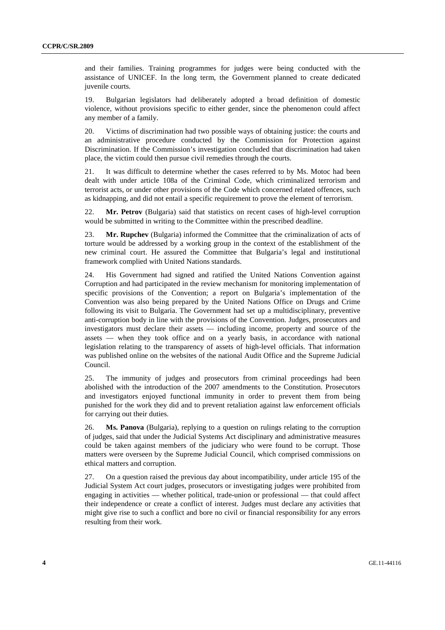and their families. Training programmes for judges were being conducted with the assistance of UNICEF. In the long term, the Government planned to create dedicated juvenile courts.

19. Bulgarian legislators had deliberately adopted a broad definition of domestic violence, without provisions specific to either gender, since the phenomenon could affect any member of a family.

20. Victims of discrimination had two possible ways of obtaining justice: the courts and an administrative procedure conducted by the Commission for Protection against Discrimination. If the Commission's investigation concluded that discrimination had taken place, the victim could then pursue civil remedies through the courts.

21. It was difficult to determine whether the cases referred to by Ms. Motoc had been dealt with under article 108a of the Criminal Code, which criminalized terrorism and terrorist acts, or under other provisions of the Code which concerned related offences, such as kidnapping, and did not entail a specific requirement to prove the element of terrorism.

22. **Mr. Petrov** (Bulgaria) said that statistics on recent cases of high-level corruption would be submitted in writing to the Committee within the prescribed deadline.

23. **Mr. Rupchev** (Bulgaria) informed the Committee that the criminalization of acts of torture would be addressed by a working group in the context of the establishment of the new criminal court. He assured the Committee that Bulgaria's legal and institutional framework complied with United Nations standards.

24. His Government had signed and ratified the United Nations Convention against Corruption and had participated in the review mechanism for monitoring implementation of specific provisions of the Convention; a report on Bulgaria's implementation of the Convention was also being prepared by the United Nations Office on Drugs and Crime following its visit to Bulgaria. The Government had set up a multidisciplinary, preventive anti-corruption body in line with the provisions of the Convention. Judges, prosecutors and investigators must declare their assets — including income, property and source of the assets — when they took office and on a yearly basis, in accordance with national legislation relating to the transparency of assets of high-level officials. That information was published online on the websites of the national Audit Office and the Supreme Judicial Council.

25. The immunity of judges and prosecutors from criminal proceedings had been abolished with the introduction of the 2007 amendments to the Constitution. Prosecutors and investigators enjoyed functional immunity in order to prevent them from being punished for the work they did and to prevent retaliation against law enforcement officials for carrying out their duties.

26. **Ms. Panova** (Bulgaria), replying to a question on rulings relating to the corruption of judges, said that under the Judicial Systems Act disciplinary and administrative measures could be taken against members of the judiciary who were found to be corrupt. Those matters were overseen by the Supreme Judicial Council, which comprised commissions on ethical matters and corruption.

27. On a question raised the previous day about incompatibility, under article 195 of the Judicial System Act court judges, prosecutors or investigating judges were prohibited from engaging in activities — whether political, trade-union or professional — that could affect their independence or create a conflict of interest. Judges must declare any activities that might give rise to such a conflict and bore no civil or financial responsibility for any errors resulting from their work.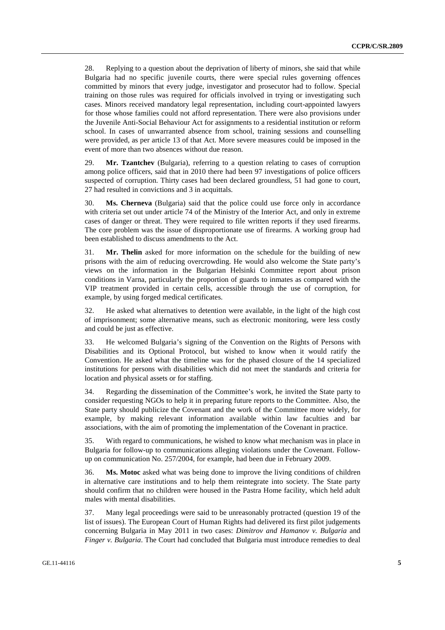28. Replying to a question about the deprivation of liberty of minors, she said that while Bulgaria had no specific juvenile courts, there were special rules governing offences committed by minors that every judge, investigator and prosecutor had to follow. Special training on those rules was required for officials involved in trying or investigating such cases. Minors received mandatory legal representation, including court-appointed lawyers for those whose families could not afford representation. There were also provisions under the Juvenile Anti-Social Behaviour Act for assignments to a residential institution or reform school. In cases of unwarranted absence from school, training sessions and counselling were provided, as per article 13 of that Act. More severe measures could be imposed in the event of more than two absences without due reason.

29. **Mr. Tzantchev** (Bulgaria), referring to a question relating to cases of corruption among police officers, said that in 2010 there had been 97 investigations of police officers suspected of corruption. Thirty cases had been declared groundless, 51 had gone to court, 27 had resulted in convictions and 3 in acquittals.

30. **Ms. Cherneva** (Bulgaria) said that the police could use force only in accordance with criteria set out under article 74 of the Ministry of the Interior Act, and only in extreme cases of danger or threat. They were required to file written reports if they used firearms. The core problem was the issue of disproportionate use of firearms. A working group had been established to discuss amendments to the Act.

31. **Mr. Thelin** asked for more information on the schedule for the building of new prisons with the aim of reducing overcrowding. He would also welcome the State party's views on the information in the Bulgarian Helsinki Committee report about prison conditions in Varna, particularly the proportion of guards to inmates as compared with the VIP treatment provided in certain cells, accessible through the use of corruption, for example, by using forged medical certificates.

32. He asked what alternatives to detention were available, in the light of the high cost of imprisonment; some alternative means, such as electronic monitoring, were less costly and could be just as effective.

33. He welcomed Bulgaria's signing of the Convention on the Rights of Persons with Disabilities and its Optional Protocol, but wished to know when it would ratify the Convention. He asked what the timeline was for the phased closure of the 14 specialized institutions for persons with disabilities which did not meet the standards and criteria for location and physical assets or for staffing.

34. Regarding the dissemination of the Committee's work, he invited the State party to consider requesting NGOs to help it in preparing future reports to the Committee. Also, the State party should publicize the Covenant and the work of the Committee more widely, for example, by making relevant information available within law faculties and bar associations, with the aim of promoting the implementation of the Covenant in practice.

35. With regard to communications, he wished to know what mechanism was in place in Bulgaria for follow-up to communications alleging violations under the Covenant. Followup on communication No. 257/2004, for example, had been due in February 2009.

36. **Ms. Motoc** asked what was being done to improve the living conditions of children in alternative care institutions and to help them reintegrate into society. The State party should confirm that no children were housed in the Pastra Home facility, which held adult males with mental disabilities.

37. Many legal proceedings were said to be unreasonably protracted (question 19 of the list of issues). The European Court of Human Rights had delivered its first pilot judgements concerning Bulgaria in May 2011 in two cases: *Dimitrov and Hamanov v. Bulgaria* and *Finger v. Bulgaria*. The Court had concluded that Bulgaria must introduce remedies to deal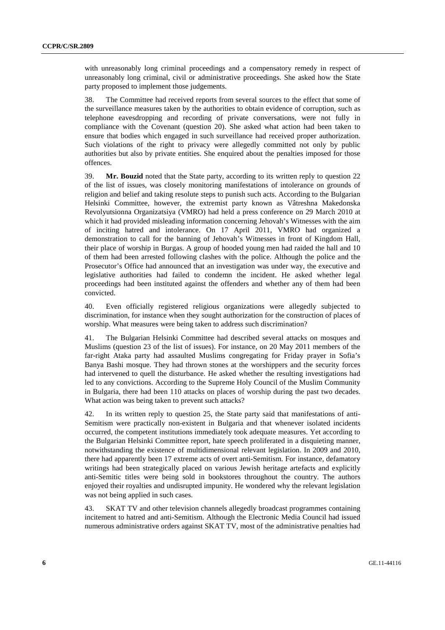with unreasonably long criminal proceedings and a compensatory remedy in respect of unreasonably long criminal, civil or administrative proceedings. She asked how the State party proposed to implement those judgements.

38. The Committee had received reports from several sources to the effect that some of the surveillance measures taken by the authorities to obtain evidence of corruption, such as telephone eavesdropping and recording of private conversations, were not fully in compliance with the Covenant (question 20). She asked what action had been taken to ensure that bodies which engaged in such surveillance had received proper authorization. Such violations of the right to privacy were allegedly committed not only by public authorities but also by private entities. She enquired about the penalties imposed for those offences.

39. **Mr. Bouzid** noted that the State party, according to its written reply to question 22 of the list of issues, was closely monitoring manifestations of intolerance on grounds of religion and belief and taking resolute steps to punish such acts. According to the Bulgarian Helsinki Committee, however, the extremist party known as Vâtreshna Makedonska Revolyutsionna Organizatsiya (VMRO) had held a press conference on 29 March 2010 at which it had provided misleading information concerning Jehovah's Witnesses with the aim of inciting hatred and intolerance. On 17 April 2011, VMRO had organized a demonstration to call for the banning of Jehovah's Witnesses in front of Kingdom Hall, their place of worship in Burgas. A group of hooded young men had raided the hall and 10 of them had been arrested following clashes with the police. Although the police and the Prosecutor's Office had announced that an investigation was under way, the executive and legislative authorities had failed to condemn the incident. He asked whether legal proceedings had been instituted against the offenders and whether any of them had been convicted.

40. Even officially registered religious organizations were allegedly subjected to discrimination, for instance when they sought authorization for the construction of places of worship. What measures were being taken to address such discrimination?

41. The Bulgarian Helsinki Committee had described several attacks on mosques and Muslims (question 23 of the list of issues). For instance, on 20 May 2011 members of the far-right Ataka party had assaulted Muslims congregating for Friday prayer in Sofia's Banya Bashi mosque. They had thrown stones at the worshippers and the security forces had intervened to quell the disturbance. He asked whether the resulting investigations had led to any convictions. According to the Supreme Holy Council of the Muslim Community in Bulgaria, there had been 110 attacks on places of worship during the past two decades. What action was being taken to prevent such attacks?

42. In its written reply to question 25, the State party said that manifestations of anti-Semitism were practically non-existent in Bulgaria and that whenever isolated incidents occurred, the competent institutions immediately took adequate measures. Yet according to the Bulgarian Helsinki Committee report, hate speech proliferated in a disquieting manner, notwithstanding the existence of multidimensional relevant legislation. In 2009 and 2010, there had apparently been 17 extreme acts of overt anti-Semitism. For instance, defamatory writings had been strategically placed on various Jewish heritage artefacts and explicitly anti-Semitic titles were being sold in bookstores throughout the country. The authors enjoyed their royalties and undisrupted impunity. He wondered why the relevant legislation was not being applied in such cases.

43. SKAT TV and other television channels allegedly broadcast programmes containing incitement to hatred and anti-Semitism. Although the Electronic Media Council had issued numerous administrative orders against SKAT TV, most of the administrative penalties had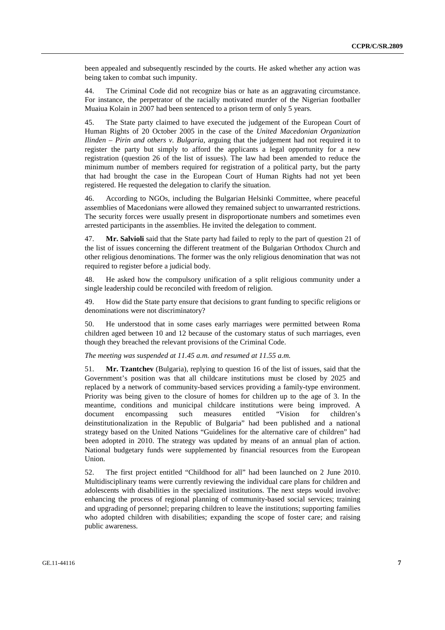been appealed and subsequently rescinded by the courts. He asked whether any action was being taken to combat such impunity.

44. The Criminal Code did not recognize bias or hate as an aggravating circumstance. For instance, the perpetrator of the racially motivated murder of the Nigerian footballer Muaiua Kolain in 2007 had been sentenced to a prison term of only 5 years.

45. The State party claimed to have executed the judgement of the European Court of Human Rights of 20 October 2005 in the case of the *United Macedonian Organization Ilinden – Pirin and others v. Bulgaria*, arguing that the judgement had not required it to register the party but simply to afford the applicants a legal opportunity for a new registration (question 26 of the list of issues). The law had been amended to reduce the minimum number of members required for registration of a political party, but the party that had brought the case in the European Court of Human Rights had not yet been registered. He requested the delegation to clarify the situation.

46. According to NGOs, including the Bulgarian Helsinki Committee, where peaceful assemblies of Macedonians were allowed they remained subject to unwarranted restrictions. The security forces were usually present in disproportionate numbers and sometimes even arrested participants in the assemblies. He invited the delegation to comment.

47. **Mr. Salvioli** said that the State party had failed to reply to the part of question 21 of the list of issues concerning the different treatment of the Bulgarian Orthodox Church and other religious denominations. The former was the only religious denomination that was not required to register before a judicial body.

48. He asked how the compulsory unification of a split religious community under a single leadership could be reconciled with freedom of religion.

49. How did the State party ensure that decisions to grant funding to specific religions or denominations were not discriminatory?

50. He understood that in some cases early marriages were permitted between Roma children aged between 10 and 12 because of the customary status of such marriages, even though they breached the relevant provisions of the Criminal Code.

## *The meeting was suspended at 11.45 a.m. and resumed at 11.55 a.m.*

51. **Mr. Tzantchev** (Bulgaria), replying to question 16 of the list of issues, said that the Government's position was that all childcare institutions must be closed by 2025 and replaced by a network of community-based services providing a family-type environment. Priority was being given to the closure of homes for children up to the age of 3. In the meantime, conditions and municipal childcare institutions were being improved. A document encompassing such measures entitled "Vision for children's deinstitutionalization in the Republic of Bulgaria" had been published and a national strategy based on the United Nations "Guidelines for the alternative care of children" had been adopted in 2010. The strategy was updated by means of an annual plan of action. National budgetary funds were supplemented by financial resources from the European Union.

52. The first project entitled "Childhood for all" had been launched on 2 June 2010. Multidisciplinary teams were currently reviewing the individual care plans for children and adolescents with disabilities in the specialized institutions. The next steps would involve: enhancing the process of regional planning of community-based social services; training and upgrading of personnel; preparing children to leave the institutions; supporting families who adopted children with disabilities; expanding the scope of foster care; and raising public awareness.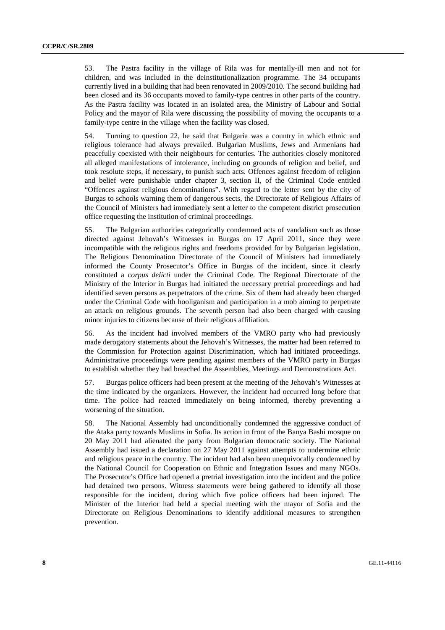53. The Pastra facility in the village of Rila was for mentally-ill men and not for children, and was included in the deinstitutionalization programme. The 34 occupants currently lived in a building that had been renovated in 2009/2010. The second building had been closed and its 36 occupants moved to family-type centres in other parts of the country. As the Pastra facility was located in an isolated area, the Ministry of Labour and Social Policy and the mayor of Rila were discussing the possibility of moving the occupants to a family-type centre in the village when the facility was closed.

54. Turning to question 22, he said that Bulgaria was a country in which ethnic and religious tolerance had always prevailed. Bulgarian Muslims, Jews and Armenians had peacefully coexisted with their neighbours for centuries. The authorities closely monitored all alleged manifestations of intolerance, including on grounds of religion and belief, and took resolute steps, if necessary, to punish such acts. Offences against freedom of religion and belief were punishable under chapter 3, section II, of the Criminal Code entitled "Offences against religious denominations". With regard to the letter sent by the city of Burgas to schools warning them of dangerous sects, the Directorate of Religious Affairs of the Council of Ministers had immediately sent a letter to the competent district prosecution office requesting the institution of criminal proceedings.

55. The Bulgarian authorities categorically condemned acts of vandalism such as those directed against Jehovah's Witnesses in Burgas on 17 April 2011, since they were incompatible with the religious rights and freedoms provided for by Bulgarian legislation. The Religious Denomination Directorate of the Council of Ministers had immediately informed the County Prosecutor's Office in Burgas of the incident, since it clearly constituted a *corpus delicti* under the Criminal Code. The Regional Directorate of the Ministry of the Interior in Burgas had initiated the necessary pretrial proceedings and had identified seven persons as perpetrators of the crime. Six of them had already been charged under the Criminal Code with hooliganism and participation in a mob aiming to perpetrate an attack on religious grounds. The seventh person had also been charged with causing minor injuries to citizens because of their religious affiliation.

56. As the incident had involved members of the VMRO party who had previously made derogatory statements about the Jehovah's Witnesses, the matter had been referred to the Commission for Protection against Discrimination, which had initiated proceedings. Administrative proceedings were pending against members of the VMRO party in Burgas to establish whether they had breached the Assemblies, Meetings and Demonstrations Act.

57. Burgas police officers had been present at the meeting of the Jehovah's Witnesses at the time indicated by the organizers. However, the incident had occurred long before that time. The police had reacted immediately on being informed, thereby preventing a worsening of the situation.

58. The National Assembly had unconditionally condemned the aggressive conduct of the Ataka party towards Muslims in Sofia. Its action in front of the Banya Bashi mosque on 20 May 2011 had alienated the party from Bulgarian democratic society. The National Assembly had issued a declaration on 27 May 2011 against attempts to undermine ethnic and religious peace in the country. The incident had also been unequivocally condemned by the National Council for Cooperation on Ethnic and Integration Issues and many NGOs. The Prosecutor's Office had opened a pretrial investigation into the incident and the police had detained two persons. Witness statements were being gathered to identify all those responsible for the incident, during which five police officers had been injured. The Minister of the Interior had held a special meeting with the mayor of Sofia and the Directorate on Religious Denominations to identify additional measures to strengthen prevention.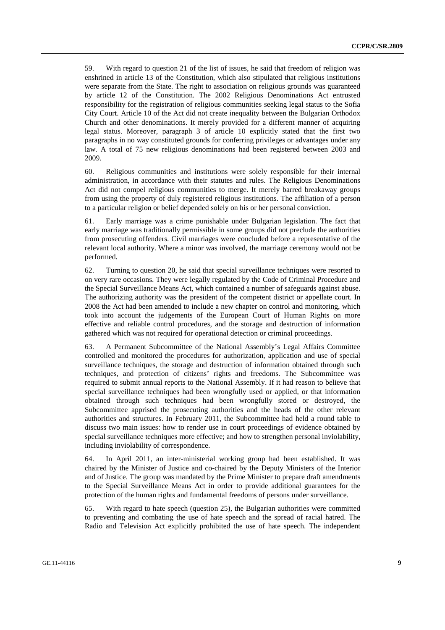59. With regard to question 21 of the list of issues, he said that freedom of religion was enshrined in article 13 of the Constitution, which also stipulated that religious institutions were separate from the State. The right to association on religious grounds was guaranteed by article 12 of the Constitution. The 2002 Religious Denominations Act entrusted responsibility for the registration of religious communities seeking legal status to the Sofia City Court. Article 10 of the Act did not create inequality between the Bulgarian Orthodox Church and other denominations. It merely provided for a different manner of acquiring legal status. Moreover, paragraph 3 of article 10 explicitly stated that the first two paragraphs in no way constituted grounds for conferring privileges or advantages under any law. A total of 75 new religious denominations had been registered between 2003 and 2009.

60. Religious communities and institutions were solely responsible for their internal administration, in accordance with their statutes and rules. The Religious Denominations Act did not compel religious communities to merge. It merely barred breakaway groups from using the property of duly registered religious institutions. The affiliation of a person to a particular religion or belief depended solely on his or her personal conviction.

61. Early marriage was a crime punishable under Bulgarian legislation. The fact that early marriage was traditionally permissible in some groups did not preclude the authorities from prosecuting offenders. Civil marriages were concluded before a representative of the relevant local authority. Where a minor was involved, the marriage ceremony would not be performed.

62. Turning to question 20, he said that special surveillance techniques were resorted to on very rare occasions. They were legally regulated by the Code of Criminal Procedure and the Special Surveillance Means Act, which contained a number of safeguards against abuse. The authorizing authority was the president of the competent district or appellate court. In 2008 the Act had been amended to include a new chapter on control and monitoring, which took into account the judgements of the European Court of Human Rights on more effective and reliable control procedures, and the storage and destruction of information gathered which was not required for operational detection or criminal proceedings.

63. A Permanent Subcommittee of the National Assembly's Legal Affairs Committee controlled and monitored the procedures for authorization, application and use of special surveillance techniques, the storage and destruction of information obtained through such techniques, and protection of citizens' rights and freedoms. The Subcommittee was required to submit annual reports to the National Assembly. If it had reason to believe that special surveillance techniques had been wrongfully used or applied, or that information obtained through such techniques had been wrongfully stored or destroyed, the Subcommittee apprised the prosecuting authorities and the heads of the other relevant authorities and structures. In February 2011, the Subcommittee had held a round table to discuss two main issues: how to render use in court proceedings of evidence obtained by special surveillance techniques more effective; and how to strengthen personal inviolability, including inviolability of correspondence.

64. In April 2011, an inter-ministerial working group had been established. It was chaired by the Minister of Justice and co-chaired by the Deputy Ministers of the Interior and of Justice. The group was mandated by the Prime Minister to prepare draft amendments to the Special Surveillance Means Act in order to provide additional guarantees for the protection of the human rights and fundamental freedoms of persons under surveillance.

65. With regard to hate speech (question 25), the Bulgarian authorities were committed to preventing and combating the use of hate speech and the spread of racial hatred. The Radio and Television Act explicitly prohibited the use of hate speech. The independent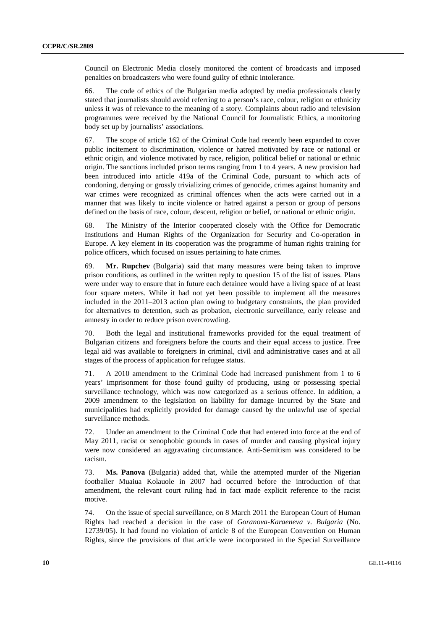Council on Electronic Media closely monitored the content of broadcasts and imposed penalties on broadcasters who were found guilty of ethnic intolerance.

66. The code of ethics of the Bulgarian media adopted by media professionals clearly stated that journalists should avoid referring to a person's race, colour, religion or ethnicity unless it was of relevance to the meaning of a story. Complaints about radio and television programmes were received by the National Council for Journalistic Ethics, a monitoring body set up by journalists' associations.

67. The scope of article 162 of the Criminal Code had recently been expanded to cover public incitement to discrimination, violence or hatred motivated by race or national or ethnic origin, and violence motivated by race, religion, political belief or national or ethnic origin. The sanctions included prison terms ranging from 1 to 4 years. A new provision had been introduced into article 419a of the Criminal Code, pursuant to which acts of condoning, denying or grossly trivializing crimes of genocide, crimes against humanity and war crimes were recognized as criminal offences when the acts were carried out in a manner that was likely to incite violence or hatred against a person or group of persons defined on the basis of race, colour, descent, religion or belief, or national or ethnic origin.

68. The Ministry of the Interior cooperated closely with the Office for Democratic Institutions and Human Rights of the Organization for Security and Co-operation in Europe. A key element in its cooperation was the programme of human rights training for police officers, which focused on issues pertaining to hate crimes.

69. **Mr. Rupchev** (Bulgaria) said that many measures were being taken to improve prison conditions, as outlined in the written reply to question 15 of the list of issues. Plans were under way to ensure that in future each detainee would have a living space of at least four square meters. While it had not yet been possible to implement all the measures included in the 2011–2013 action plan owing to budgetary constraints, the plan provided for alternatives to detention, such as probation, electronic surveillance, early release and amnesty in order to reduce prison overcrowding.

70. Both the legal and institutional frameworks provided for the equal treatment of Bulgarian citizens and foreigners before the courts and their equal access to justice. Free legal aid was available to foreigners in criminal, civil and administrative cases and at all stages of the process of application for refugee status.

71. A 2010 amendment to the Criminal Code had increased punishment from 1 to 6 years' imprisonment for those found guilty of producing, using or possessing special surveillance technology, which was now categorized as a serious offence. In addition, a 2009 amendment to the legislation on liability for damage incurred by the State and municipalities had explicitly provided for damage caused by the unlawful use of special surveillance methods.

72. Under an amendment to the Criminal Code that had entered into force at the end of May 2011, racist or xenophobic grounds in cases of murder and causing physical injury were now considered an aggravating circumstance. Anti-Semitism was considered to be racism.

73. **Ms. Panova** (Bulgaria) added that, while the attempted murder of the Nigerian footballer Muaiua Kolauole in 2007 had occurred before the introduction of that amendment, the relevant court ruling had in fact made explicit reference to the racist motive.

74. On the issue of special surveillance, on 8 March 2011 the European Court of Human Rights had reached a decision in the case of *Goranova-Karaeneva v. Bulgaria* (No. 12739/05). It had found no violation of article 8 of the European Convention on Human Rights, since the provisions of that article were incorporated in the Special Surveillance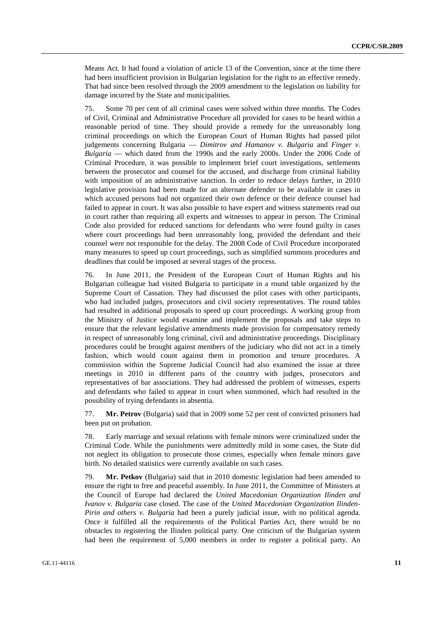Means Act. It had found a violation of article 13 of the Convention, since at the time there had been insufficient provision in Bulgarian legislation for the right to an effective remedy. That had since been resolved through the 2009 amendment to the legislation on liability for damage incurred by the State and municipalities.

75. Some 70 per cent of all criminal cases were solved within three months. The Codes of Civil, Criminal and Administrative Procedure all provided for cases to be heard within a reasonable period of time. They should provide a remedy for the unreasonably long criminal proceedings on which the European Court of Human Rights had passed pilot judgements concerning Bulgaria — *Dimitrov and Hamanov v. Bulgaria* and *Finger v. Bulgaria* — which dated from the 1990s and the early 2000s. Under the 2006 Code of Criminal Procedure, it was possible to implement brief court investigations, settlements between the prosecutor and counsel for the accused, and discharge from criminal liability with imposition of an administrative sanction. In order to reduce delays further, in 2010 legislative provision had been made for an alternate defender to be available in cases in which accused persons had not organized their own defence or their defence counsel had failed to appear in court. It was also possible to have expert and witness statements read out in court rather than requiring all experts and witnesses to appear in person. The Criminal Code also provided for reduced sanctions for defendants who were found guilty in cases where court proceedings had been unreasonably long, provided the defendant and their counsel were not responsible for the delay. The 2008 Code of Civil Procedure incorporated many measures to speed up court proceedings, such as simplified summons procedures and deadlines that could be imposed at several stages of the process.

76. In June 2011, the President of the European Court of Human Rights and his Bulgarian colleague had visited Bulgaria to participate in a round table organized by the Supreme Court of Cassation. They had discussed the pilot cases with other participants, who had included judges, prosecutors and civil society representatives. The round tables had resulted in additional proposals to speed up court proceedings. A working group from the Ministry of Justice would examine and implement the proposals and take steps to ensure that the relevant legislative amendments made provision for compensatory remedy in respect of unreasonably long criminal, civil and administrative proceedings. Disciplinary procedures could be brought against members of the judiciary who did not act in a timely fashion, which would count against them in promotion and tenure procedures. A commission within the Supreme Judicial Council had also examined the issue at three meetings in 2010 in different parts of the country with judges, prosecutors and representatives of bar associations. They had addressed the problem of witnesses, experts and defendants who failed to appear in court when summoned, which had resulted in the possibility of trying defendants in absentia.

77. **Mr. Petrov** (Bulgaria) said that in 2009 some 52 per cent of convicted prisoners had been put on probation.

78. Early marriage and sexual relations with female minors were criminalized under the Criminal Code. While the punishments were admittedly mild in some cases, the State did not neglect its obligation to prosecute those crimes, especially when female minors gave birth. No detailed statistics were currently available on such cases.

79. **Mr. Petkov** (Bulgaria) said that in 2010 domestic legislation had been amended to ensure the right to free and peaceful assembly. In June 2011, the Committee of Ministers at the Council of Europe had declared the *United Macedonian Organization Ilinden and Ivanov v. Bulgaria* case closed. The case of the *United Macedonian Organization Ilinden-Pirin and others v. Bulgaria* had been a purely judicial issue, with no political agenda. Once it fulfilled all the requirements of the Political Parties Act, there would be no obstacles to registering the Ilinden political party. One criticism of the Bulgarian system had been the requirement of 5,000 members in order to register a political party. An